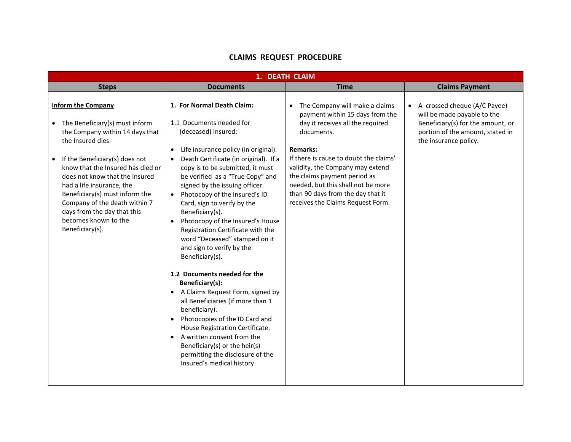## **CLAIMS REQUEST PROCEDURE**

| 1. DEATH CLAIM                                                                                                                                                                                                                                                                                                                                                                                                   |                                                                                                                                                                                                                                                                                                                                                                                                                                                                                                                                                                                                                                                                                                                                                                                                                                                                                                                   |                                                                                                                                                                                                                                                                                                                                                                                   |                                                                                                                                                               |  |  |  |
|------------------------------------------------------------------------------------------------------------------------------------------------------------------------------------------------------------------------------------------------------------------------------------------------------------------------------------------------------------------------------------------------------------------|-------------------------------------------------------------------------------------------------------------------------------------------------------------------------------------------------------------------------------------------------------------------------------------------------------------------------------------------------------------------------------------------------------------------------------------------------------------------------------------------------------------------------------------------------------------------------------------------------------------------------------------------------------------------------------------------------------------------------------------------------------------------------------------------------------------------------------------------------------------------------------------------------------------------|-----------------------------------------------------------------------------------------------------------------------------------------------------------------------------------------------------------------------------------------------------------------------------------------------------------------------------------------------------------------------------------|---------------------------------------------------------------------------------------------------------------------------------------------------------------|--|--|--|
| <b>Steps</b>                                                                                                                                                                                                                                                                                                                                                                                                     | <b>Documents</b>                                                                                                                                                                                                                                                                                                                                                                                                                                                                                                                                                                                                                                                                                                                                                                                                                                                                                                  | <b>Time</b>                                                                                                                                                                                                                                                                                                                                                                       | <b>Claims Payment</b>                                                                                                                                         |  |  |  |
| <b>Inform the Company</b><br>$\bullet$ The Beneficiary(s) must inform<br>the Company within 14 days that<br>the Insured dies.<br>If the Beneficiary(s) does not<br>know that the Insured has died or<br>does not know that the Insured<br>had a life insurance, the<br>Beneficiary(s) must inform the<br>Company of the death within 7<br>days from the day that this<br>becomes known to the<br>Beneficiary(s). | 1. For Normal Death Claim:<br>1.1 Documents needed for<br>(deceased) Insured:<br>Life insurance policy (in original).<br>$\bullet$<br>Death Certificate (in original). If a<br>copy is to be submitted, it must<br>be verified as a "True Copy" and<br>signed by the issuing officer.<br>Photocopy of the Insured's ID<br>Card, sign to verify by the<br>Beneficiary(s).<br>Photocopy of the Insured's House<br>Registration Certificate with the<br>word "Deceased" stamped on it<br>and sign to verify by the<br>Beneficiary(s).<br>1.2 Documents needed for the<br>Beneficiary(s):<br>• A Claims Request Form, signed by<br>all Beneficiaries (if more than 1<br>beneficiary).<br>Photocopies of the ID Card and<br>$\bullet$<br>House Registration Certificate.<br>A written consent from the<br>$\bullet$<br>Beneficiary(s) or the heir(s)<br>permitting the disclosure of the<br>Insured's medical history. | The Company will make a claims<br>$\bullet$<br>payment within 15 days from the<br>day it receives all the required<br>documents.<br><b>Remarks:</b><br>If there is cause to doubt the claims'<br>validity, the Company may extend<br>the claims payment period as<br>needed, but this shall not be more<br>than 90 days from the day that it<br>receives the Claims Request Form. | A crossed cheque (A/C Payee)<br>will be made payable to the<br>Beneficiary(s) for the amount, or<br>portion of the amount, stated in<br>the insurance policy. |  |  |  |
|                                                                                                                                                                                                                                                                                                                                                                                                                  |                                                                                                                                                                                                                                                                                                                                                                                                                                                                                                                                                                                                                                                                                                                                                                                                                                                                                                                   |                                                                                                                                                                                                                                                                                                                                                                                   |                                                                                                                                                               |  |  |  |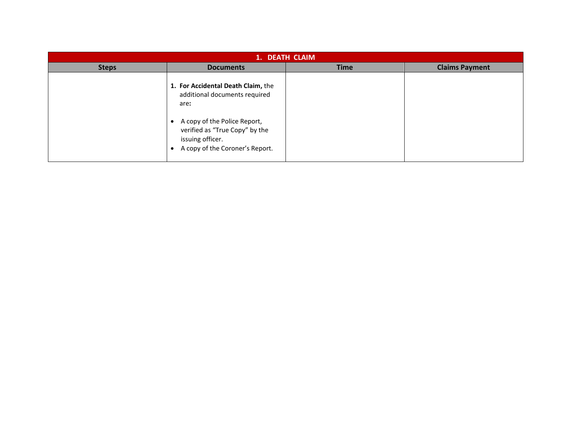| 1. DEATH CLAIM |                                                                                                                                                                                                                   |             |                       |  |  |  |
|----------------|-------------------------------------------------------------------------------------------------------------------------------------------------------------------------------------------------------------------|-------------|-----------------------|--|--|--|
| <b>Steps</b>   | <b>Documents</b>                                                                                                                                                                                                  | <b>Time</b> | <b>Claims Payment</b> |  |  |  |
|                | 1. For Accidental Death Claim, the<br>additional documents required<br>are:<br>A copy of the Police Report,<br>$\bullet$<br>verified as "True Copy" by the<br>issuing officer.<br>A copy of the Coroner's Report. |             |                       |  |  |  |